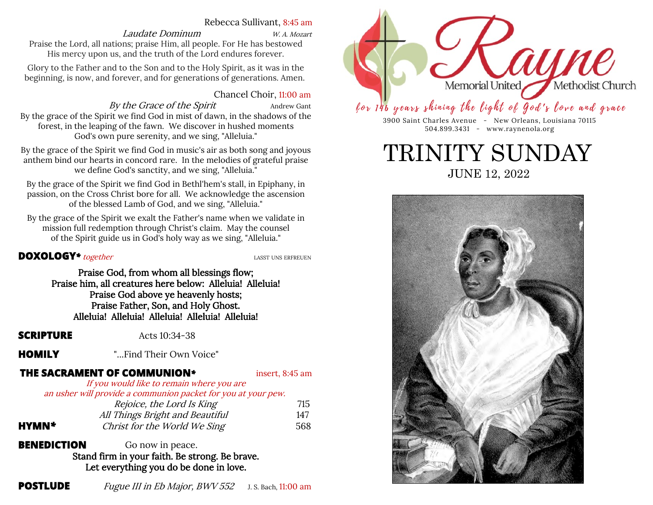# Rebecca Sullivant, 8:45 am

# Laudate Dominum W. A. Mozart

Praise the Lord, all nations; praise Him, all people. For He has bestowed His mercy upon us, and the truth of the Lord endures forever.

Glory to the Father and to the Son and to the Holy Spirit, as it was in the beginning, is now, and forever, and for generations of generations. Amen.

# Chancel Choir, 11:00 am

By the Grace of the Spirit Andrew Gant By the grace of the Spirit we find God in mist of dawn, in the shadows of the forest, in the leaping of the fawn. We discover in hushed moments God's own pure serenity, and we sing, "Alleluia."

By the grace of the Spirit we find God in music's air as both song and joyous anthem bind our hearts in concord rare. In the melodies of grateful praise we define God's sanctity, and we sing, "Alleluia."

By the grace of the Spirit we find God in Bethl'hem's stall, in Epiphany, in passion, on the Cross Christ bore for all. We acknowledge the ascension of the blessed Lamb of God, and we sing, "Alleluia."

By the grace of the Spirit we exalt the Father's name when we validate in mission full redemption through Christ's claim. May the counsel of the Spirit guide us in God's holy way as we sing, "Alleluia."

# **DOXOLOGY**<sup>\*</sup> together<br> **LASST UNS ERFREUEN**

Praise God, from whom all blessings flow; Praise him, all creatures here below: Alleluia! Alleluia! Praise God above ye heavenly hosts; Praise Father, Son, and Holy Ghost. Alleluia! Alleluia! Alleluia! Alleluia! Alleluia!

**SCRIPTURE** Acts 10:34-38

**HOMILY** "...Find Their Own Voice"

# **THE SACRAMENT OF COMMUNION***\** insert, 8:45 am

If you would like to remain where you are an usher will provide a communion packet for you at your pew.

| Rejoice, the Lord Is King       | 715                                                           |
|---------------------------------|---------------------------------------------------------------|
| All Things Bright and Beautiful | 147                                                           |
| Christ for the World We Sing    | 568                                                           |
|                                 | an abhol will provide a commandir packet for you at your powl |

**BENEDICTION** Go now in peace. Stand firm in your faith. Be strong. Be brave. Let everything you do be done in love.

**POSTLUDE** Fugue III in Eb Major, BWV 552 J. S. Bach, 11:00 am



for 146 years shining the light of God's love and grace

3900 Saint Charles Avenue - New Orleans, Louisiana 70115 504.899.3431 - www.raynenola.org

JUNE 12, 2022 TRINITY SUNDAY

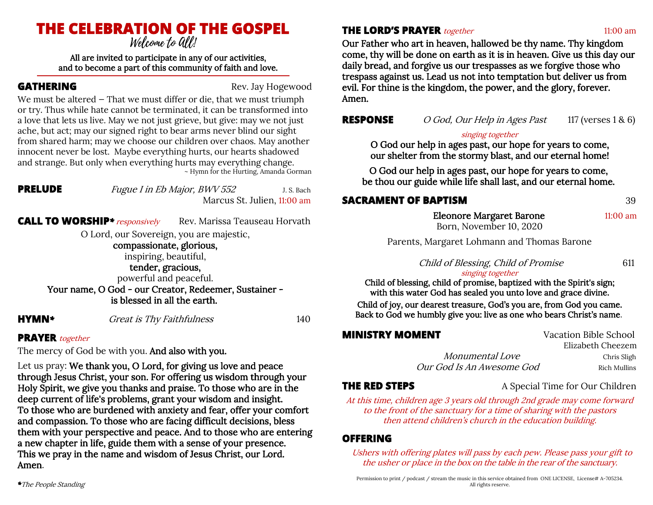# **THE CELEBRATION OF THE GOSPEL**

All are invited to participate in any of our activities, and to become a part of this community of faith and love.

**GATHERING** Rev. Jay Hogewood

We must be altered – That we must differ or die, that we must triumph or try. Thus while hate cannot be terminated, it can be transformed into a love that lets us live. May we not just grieve, but give: may we not just ache, but act; may our signed right to bear arms never blind our sight from shared harm; may we choose our children over chaos. May another innocent never be lost. Maybe everything hurts, our hearts shadowed and strange. But only when everything hurts may everything change. ~ Hymn for the Hurting, Amanda Gorman

| PRELUDI<br><b>COL</b> |
|-----------------------|
|                       |

*Fugue I in Eb Major, BWV 552* J. S. Bach Marcus St. Julien, 11:00 am

**CALL TO WORSHIP**<sup>\*</sup> *responsively* Rev. Marissa Teauseau Horvath

O Lord, our Sovereign, you are majestic,

# compassionate, glorious,

inspiring, beautiful,

tender, gracious, powerful and peaceful.

Your name, O God - our Creator, Redeemer, Sustainer is blessed in all the earth.

**HYMN**<sup>\*</sup> Great is Thy Faithfulness 140

# **PRAYER** together

The mercy of God be with you. And also with you.

Let us pray: We thank you, O Lord, for giving us love and peace through Jesus Christ, your son. For offering us wisdom through your Holy Spirit, we give you thanks and praise. To those who are in the deep current of life's problems, grant your wisdom and insight. To those who are burdened with anxiety and fear, offer your comfort and compassion. To those who are facing difficult decisions, bless them with your perspective and peace. And to those who are entering a new chapter in life, guide them with a sense of your presence. This we pray in the name and wisdom of Jesus Christ, our Lord. Amen.

# **THE LORD'S PRAYER** together 11:00 am

Our Father who art in heaven, hallowed be thy name. Thy kingdom come, thy will be done on earth as it is in heaven. Give us this day our daily bread, and forgive us our trespasses as we forgive those who trespass against us. Lead us not into temptation but deliver us from evil. For thine is the kingdom, the power, and the glory, forever. Amen.

**RESPONSE** O God, Our Help in Ages Past 117 (verses 1 & 6)

# singing together

O God our help in ages past, our hope for years to come, our shelter from the stormy blast, and our eternal home!

O God our help in ages past, our hope for years to come, be thou our guide while life shall last, and our eternal home.

# **SACRAMENT OF BAPTISM** 39

 Eleonore Margaret Barone 11:00 am Born, November 10, 2020

Parents, Margaret Lohmann and Thomas Barone

Child of Blessing, Child of Promise 611

# singing together

Child of blessing, child of promise, baptized with the Spirit's sign; with this water God has sealed you unto love and grace divine.

Child of joy, our dearest treasure, God's you are, from God you came. Back to God we humbly give you: live as one who bears Christ's name.

| <b>MINISTRY MOMENT</b>    | Vacation Bible School |
|---------------------------|-----------------------|
|                           | Elizabeth Cheezem     |
| <i>Monumental Love</i>    | Chris Sligh           |
| Our God Is An Awesome God | Rich Mullins          |

**THE RED STEPS** A Special Time for Our Children

### At this time, children age 3 years old through 2nd grade may come forward to the front of the sanctuary for a time of sharing with the pastors then attend children's church in the education building.

# **OFFERING**

Ushers with offering plates will pass by each pew. Please pass your gift to the usher or place in the box on the table in the rear of the sanctuary.